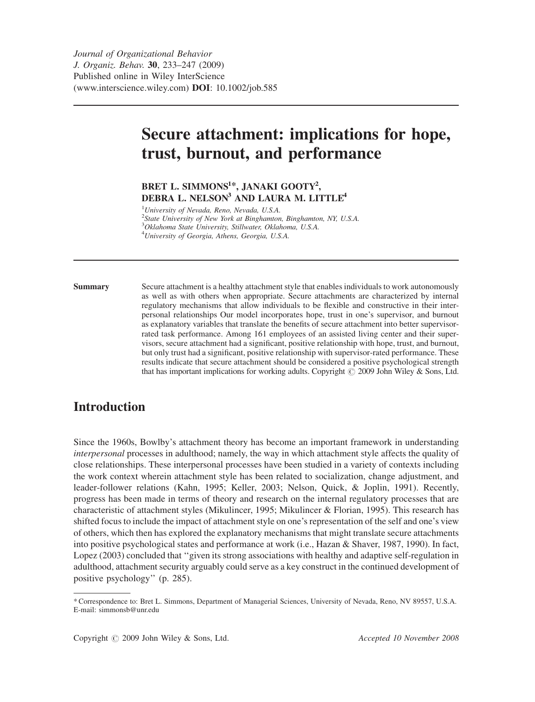Journal of Organizational Behavior J. Organiz. Behav. 30, 233–247 (2009) Published online in Wiley InterScience (www.interscience.wiley.com) DOI: 10.1002/job.585

# Secure attachment: implications for hope, trust, burnout, and performance

### BRET L. SIMMONS $^{1*}$ , JANAKI GOOTY $^2$ , DEBRA L. NELSON $^3$  and laura m. little $^4$

<sup>1</sup>University of Nevada, Reno, Nevada, U.S.A. <sup>2</sup>State University of New York at Binghamton, Binghamton, NY, U.S.A. 3 Oklahoma State University, Stillwater, Oklahoma, U.S.A. 4 University of Georgia, Athens, Georgia, U.S.A.

Summary Secure attachment is a healthy attachment style that enables individuals to work autonomously as well as with others when appropriate. Secure attachments are characterized by internal regulatory mechanisms that allow individuals to be flexible and constructive in their interpersonal relationships Our model incorporates hope, trust in one's supervisor, and burnout as explanatory variables that translate the benefits of secure attachment into better supervisorrated task performance. Among 161 employees of an assisted living center and their supervisors, secure attachment had a significant, positive relationship with hope, trust, and burnout, but only trust had a significant, positive relationship with supervisor-rated performance. These results indicate that secure attachment should be considered a positive psychological strength that has important implications for working adults. Copyright  $\odot$  2009 John Wiley & Sons, Ltd.

# **Introduction**

Since the 1960s, Bowlby's attachment theory has become an important framework in understanding interpersonal processes in adulthood; namely, the way in which attachment style affects the quality of close relationships. These interpersonal processes have been studied in a variety of contexts including the work context wherein attachment style has been related to socialization, change adjustment, and leader-follower relations (Kahn, 1995; Keller, 2003; Nelson, Quick, & Joplin, 1991). Recently, progress has been made in terms of theory and research on the internal regulatory processes that are characteristic of attachment styles (Mikulincer, 1995; Mikulincer & Florian, 1995). This research has shifted focus to include the impact of attachment style on one's representation of the self and one's view of others, which then has explored the explanatory mechanisms that might translate secure attachments into positive psychological states and performance at work (i.e., Hazan & Shaver, 1987, 1990). In fact, Lopez (2003) concluded that ''given its strong associations with healthy and adaptive self-regulation in adulthood, attachment security arguably could serve as a key construct in the continued development of positive psychology'' (p. 285).

<sup>\*</sup> Correspondence to: Bret L. Simmons, Department of Managerial Sciences, University of Nevada, Reno, NV 89557, U.S.A. E-mail: simmonsb@unr.edu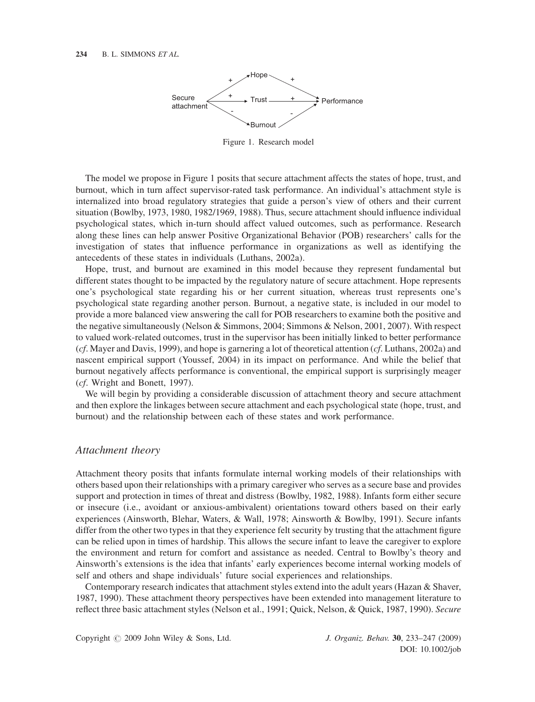

Figure 1. Research model

The model we propose in Figure 1 posits that secure attachment affects the states of hope, trust, and burnout, which in turn affect supervisor-rated task performance. An individual's attachment style is internalized into broad regulatory strategies that guide a person's view of others and their current situation (Bowlby, 1973, 1980, 1982/1969, 1988). Thus, secure attachment should influence individual psychological states, which in-turn should affect valued outcomes, such as performance. Research along these lines can help answer Positive Organizational Behavior (POB) researchers' calls for the investigation of states that influence performance in organizations as well as identifying the antecedents of these states in individuals (Luthans, 2002a).

Hope, trust, and burnout are examined in this model because they represent fundamental but different states thought to be impacted by the regulatory nature of secure attachment. Hope represents one's psychological state regarding his or her current situation, whereas trust represents one's psychological state regarding another person. Burnout, a negative state, is included in our model to provide a more balanced view answering the call for POB researchers to examine both the positive and the negative simultaneously (Nelson & Simmons, 2004; Simmons & Nelson, 2001, 2007). With respect to valued work-related outcomes, trust in the supervisor has been initially linked to better performance (cf. Mayer and Davis, 1999), and hope is garnering a lot of theoretical attention (cf. Luthans, 2002a) and nascent empirical support (Youssef, 2004) in its impact on performance. And while the belief that burnout negatively affects performance is conventional, the empirical support is surprisingly meager (cf. Wright and Bonett, 1997).

We will begin by providing a considerable discussion of attachment theory and secure attachment and then explore the linkages between secure attachment and each psychological state (hope, trust, and burnout) and the relationship between each of these states and work performance.

#### Attachment theory

Attachment theory posits that infants formulate internal working models of their relationships with others based upon their relationships with a primary caregiver who serves as a secure base and provides support and protection in times of threat and distress (Bowlby, 1982, 1988). Infants form either secure or insecure (i.e., avoidant or anxious-ambivalent) orientations toward others based on their early experiences (Ainsworth, Blehar, Waters, & Wall, 1978; Ainsworth & Bowlby, 1991). Secure infants differ from the other two types in that they experience felt security by trusting that the attachment figure can be relied upon in times of hardship. This allows the secure infant to leave the caregiver to explore the environment and return for comfort and assistance as needed. Central to Bowlby's theory and Ainsworth's extensions is the idea that infants' early experiences become internal working models of self and others and shape individuals' future social experiences and relationships.

Contemporary research indicates that attachment styles extend into the adult years (Hazan & Shaver, 1987, 1990). These attachment theory perspectives have been extended into management literature to reflect three basic attachment styles (Nelson et al., 1991; Quick, Nelson, & Quick, 1987, 1990). Secure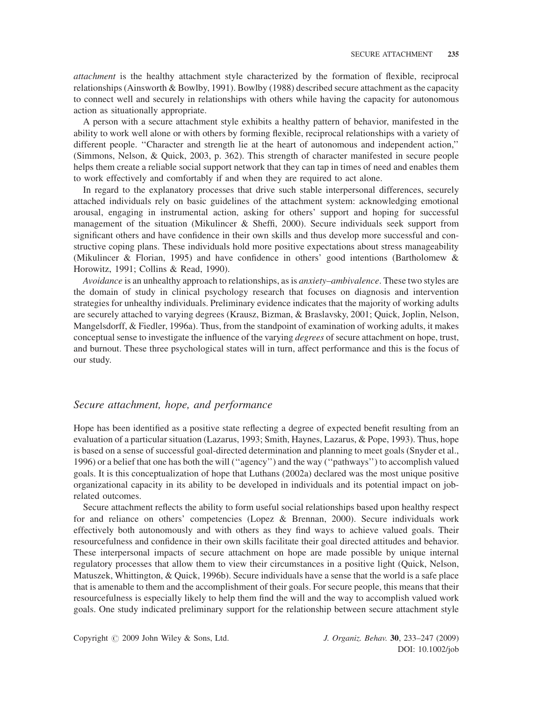attachment is the healthy attachment style characterized by the formation of flexible, reciprocal relationships (Ainsworth & Bowlby, 1991). Bowlby (1988) described secure attachment as the capacity to connect well and securely in relationships with others while having the capacity for autonomous action as situationally appropriate.

A person with a secure attachment style exhibits a healthy pattern of behavior, manifested in the ability to work well alone or with others by forming flexible, reciprocal relationships with a variety of different people. ''Character and strength lie at the heart of autonomous and independent action,'' (Simmons, Nelson, & Quick, 2003, p. 362). This strength of character manifested in secure people helps them create a reliable social support network that they can tap in times of need and enables them to work effectively and comfortably if and when they are required to act alone.

In regard to the explanatory processes that drive such stable interpersonal differences, securely attached individuals rely on basic guidelines of the attachment system: acknowledging emotional arousal, engaging in instrumental action, asking for others' support and hoping for successful management of the situation (Mikulincer & Sheffi, 2000). Secure individuals seek support from significant others and have confidence in their own skills and thus develop more successful and constructive coping plans. These individuals hold more positive expectations about stress manageability (Mikulincer & Florian, 1995) and have confidence in others' good intentions (Bartholomew & Horowitz, 1991; Collins & Read, 1990).

Avoidance is an unhealthy approach to relationships, as is anxiety–ambivalence. These two styles are the domain of study in clinical psychology research that focuses on diagnosis and intervention strategies for unhealthy individuals. Preliminary evidence indicates that the majority of working adults are securely attached to varying degrees (Krausz, Bizman, & Braslavsky, 2001; Quick, Joplin, Nelson, Mangelsdorff, & Fiedler, 1996a). Thus, from the standpoint of examination of working adults, it makes conceptual sense to investigate the influence of the varying *degrees* of secure attachment on hope, trust, and burnout. These three psychological states will in turn, affect performance and this is the focus of our study.

#### Secure attachment, hope, and performance

Hope has been identified as a positive state reflecting a degree of expected benefit resulting from an evaluation of a particular situation (Lazarus, 1993; Smith, Haynes, Lazarus, & Pope, 1993). Thus, hope is based on a sense of successful goal-directed determination and planning to meet goals (Snyder et al., 1996) or a belief that one has both the will (''agency'') and the way (''pathways'') to accomplish valued goals. It is this conceptualization of hope that Luthans (2002a) declared was the most unique positive organizational capacity in its ability to be developed in individuals and its potential impact on jobrelated outcomes.

Secure attachment reflects the ability to form useful social relationships based upon healthy respect for and reliance on others' competencies (Lopez & Brennan, 2000). Secure individuals work effectively both autonomously and with others as they find ways to achieve valued goals. Their resourcefulness and confidence in their own skills facilitate their goal directed attitudes and behavior. These interpersonal impacts of secure attachment on hope are made possible by unique internal regulatory processes that allow them to view their circumstances in a positive light (Quick, Nelson, Matuszek, Whittington, & Quick, 1996b). Secure individuals have a sense that the world is a safe place that is amenable to them and the accomplishment of their goals. For secure people, this means that their resourcefulness is especially likely to help them find the will and the way to accomplish valued work goals. One study indicated preliminary support for the relationship between secure attachment style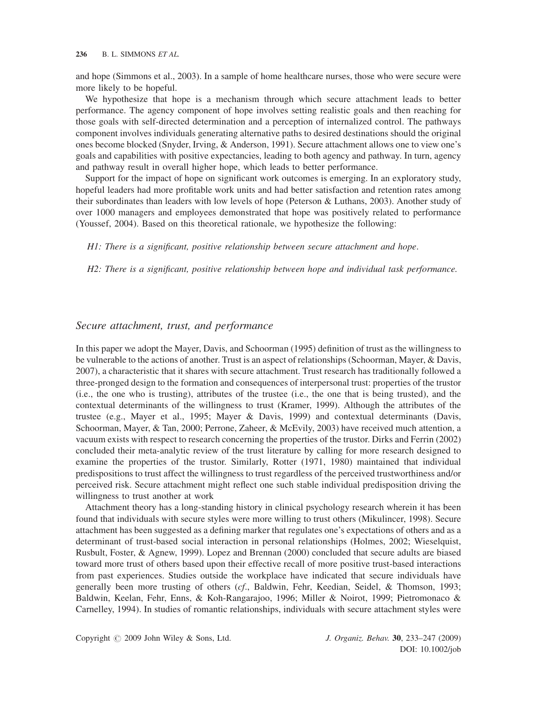and hope (Simmons et al., 2003). In a sample of home healthcare nurses, those who were secure were more likely to be hopeful.

We hypothesize that hope is a mechanism through which secure attachment leads to better performance. The agency component of hope involves setting realistic goals and then reaching for those goals with self-directed determination and a perception of internalized control. The pathways component involves individuals generating alternative paths to desired destinations should the original ones become blocked (Snyder, Irving, & Anderson, 1991). Secure attachment allows one to view one's goals and capabilities with positive expectancies, leading to both agency and pathway. In turn, agency and pathway result in overall higher hope, which leads to better performance.

Support for the impact of hope on significant work outcomes is emerging. In an exploratory study, hopeful leaders had more profitable work units and had better satisfaction and retention rates among their subordinates than leaders with low levels of hope (Peterson & Luthans, 2003). Another study of over 1000 managers and employees demonstrated that hope was positively related to performance (Youssef, 2004). Based on this theoretical rationale, we hypothesize the following:

H1: There is a significant, positive relationship between secure attachment and hope.

H2: There is a significant, positive relationship between hope and individual task performance.

#### Secure attachment, trust, and performance

In this paper we adopt the Mayer, Davis, and Schoorman (1995) definition of trust as the willingness to be vulnerable to the actions of another. Trust is an aspect of relationships (Schoorman, Mayer, & Davis, 2007), a characteristic that it shares with secure attachment. Trust research has traditionally followed a three-pronged design to the formation and consequences of interpersonal trust: properties of the trustor (i.e., the one who is trusting), attributes of the trustee (i.e., the one that is being trusted), and the contextual determinants of the willingness to trust (Kramer, 1999). Although the attributes of the trustee (e.g., Mayer et al., 1995; Mayer & Davis, 1999) and contextual determinants (Davis, Schoorman, Mayer, & Tan, 2000; Perrone, Zaheer, & McEvily, 2003) have received much attention, a vacuum exists with respect to research concerning the properties of the trustor. Dirks and Ferrin (2002) concluded their meta-analytic review of the trust literature by calling for more research designed to examine the properties of the trustor. Similarly, Rotter (1971, 1980) maintained that individual predispositions to trust affect the willingness to trust regardless of the perceived trustworthiness and/or perceived risk. Secure attachment might reflect one such stable individual predisposition driving the willingness to trust another at work

Attachment theory has a long-standing history in clinical psychology research wherein it has been found that individuals with secure styles were more willing to trust others (Mikulincer, 1998). Secure attachment has been suggested as a defining marker that regulates one's expectations of others and as a determinant of trust-based social interaction in personal relationships (Holmes, 2002; Wieselquist, Rusbult, Foster, & Agnew, 1999). Lopez and Brennan (2000) concluded that secure adults are biased toward more trust of others based upon their effective recall of more positive trust-based interactions from past experiences. Studies outside the workplace have indicated that secure individuals have generally been more trusting of others (cf., Baldwin, Fehr, Keedian, Seidel, & Thomson, 1993; Baldwin, Keelan, Fehr, Enns, & Koh-Rangarajoo, 1996; Miller & Noirot, 1999; Pietromonaco & Carnelley, 1994). In studies of romantic relationships, individuals with secure attachment styles were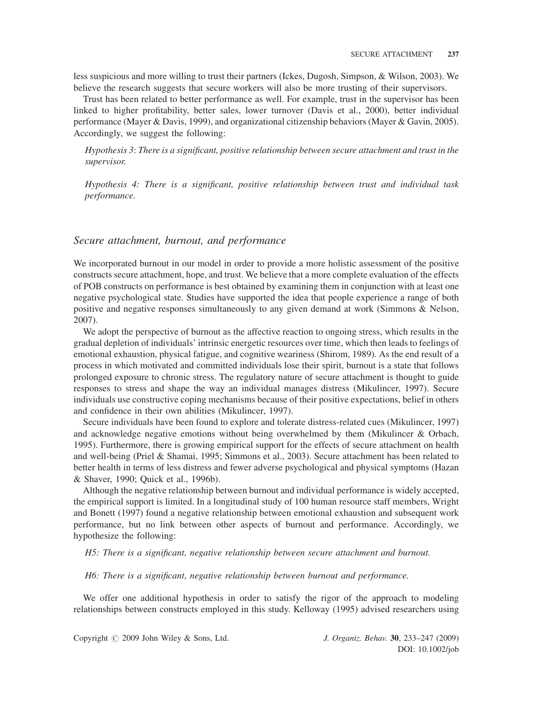less suspicious and more willing to trust their partners (Ickes, Dugosh, Simpson, & Wilson, 2003). We believe the research suggests that secure workers will also be more trusting of their supervisors.

Trust has been related to better performance as well. For example, trust in the supervisor has been linked to higher profitability, better sales, lower turnover (Davis et al., 2000), better individual performance (Mayer & Davis, 1999), and organizational citizenship behaviors (Mayer & Gavin, 2005). Accordingly, we suggest the following:

Hypothesis 3: There is a significant, positive relationship between secure attachment and trust in the supervisor.

Hypothesis 4: There is a significant, positive relationship between trust and individual task performance.

#### Secure attachment, burnout, and performance

We incorporated burnout in our model in order to provide a more holistic assessment of the positive constructs secure attachment, hope, and trust. We believe that a more complete evaluation of the effects of POB constructs on performance is best obtained by examining them in conjunction with at least one negative psychological state. Studies have supported the idea that people experience a range of both positive and negative responses simultaneously to any given demand at work (Simmons & Nelson, 2007).

We adopt the perspective of burnout as the affective reaction to ongoing stress, which results in the gradual depletion of individuals' intrinsic energetic resources over time, which then leads to feelings of emotional exhaustion, physical fatigue, and cognitive weariness (Shirom, 1989). As the end result of a process in which motivated and committed individuals lose their spirit, burnout is a state that follows prolonged exposure to chronic stress. The regulatory nature of secure attachment is thought to guide responses to stress and shape the way an individual manages distress (Mikulincer, 1997). Secure individuals use constructive coping mechanisms because of their positive expectations, belief in others and confidence in their own abilities (Mikulincer, 1997).

Secure individuals have been found to explore and tolerate distress-related cues (Mikulincer, 1997) and acknowledge negative emotions without being overwhelmed by them (Mikulincer & Orbach, 1995). Furthermore, there is growing empirical support for the effects of secure attachment on health and well-being (Priel & Shamai, 1995; Simmons et al., 2003). Secure attachment has been related to better health in terms of less distress and fewer adverse psychological and physical symptoms (Hazan & Shaver, 1990; Quick et al., 1996b).

Although the negative relationship between burnout and individual performance is widely accepted, the empirical support is limited. In a longitudinal study of 100 human resource staff members, Wright and Bonett (1997) found a negative relationship between emotional exhaustion and subsequent work performance, but no link between other aspects of burnout and performance. Accordingly, we hypothesize the following:

H5: There is a significant, negative relationship between secure attachment and burnout.

H6: There is a significant, negative relationship between burnout and performance.

We offer one additional hypothesis in order to satisfy the rigor of the approach to modeling relationships between constructs employed in this study. Kelloway (1995) advised researchers using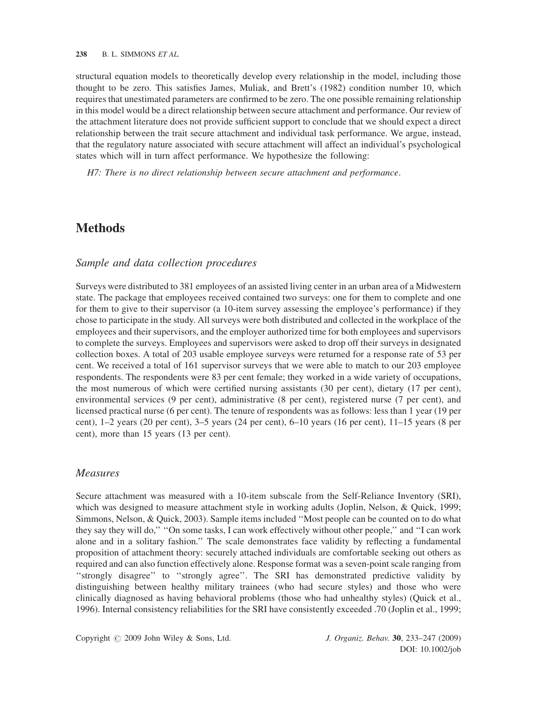#### 238 B. L. SIMMONS ET AL.

structural equation models to theoretically develop every relationship in the model, including those thought to be zero. This satisfies James, Muliak, and Brett's (1982) condition number 10, which requires that unestimated parameters are confirmed to be zero. The one possible remaining relationship in this model would be a direct relationship between secure attachment and performance. Our review of the attachment literature does not provide sufficient support to conclude that we should expect a direct relationship between the trait secure attachment and individual task performance. We argue, instead, that the regulatory nature associated with secure attachment will affect an individual's psychological states which will in turn affect performance. We hypothesize the following:

H7: There is no direct relationship between secure attachment and performance.

### **Methods**

#### Sample and data collection procedures

Surveys were distributed to 381 employees of an assisted living center in an urban area of a Midwestern state. The package that employees received contained two surveys: one for them to complete and one for them to give to their supervisor (a 10-item survey assessing the employee's performance) if they chose to participate in the study. All surveys were both distributed and collected in the workplace of the employees and their supervisors, and the employer authorized time for both employees and supervisors to complete the surveys. Employees and supervisors were asked to drop off their surveys in designated collection boxes. A total of 203 usable employee surveys were returned for a response rate of 53 per cent. We received a total of 161 supervisor surveys that we were able to match to our 203 employee respondents. The respondents were 83 per cent female; they worked in a wide variety of occupations, the most numerous of which were certified nursing assistants (30 per cent), dietary (17 per cent), environmental services (9 per cent), administrative (8 per cent), registered nurse (7 per cent), and licensed practical nurse (6 per cent). The tenure of respondents was as follows: less than 1 year (19 per cent), 1–2 years (20 per cent), 3–5 years (24 per cent), 6–10 years (16 per cent), 11–15 years (8 per cent), more than 15 years (13 per cent).

#### **Measures**

Secure attachment was measured with a 10-item subscale from the Self-Reliance Inventory (SRI), which was designed to measure attachment style in working adults (Joplin, Nelson, & Quick, 1999; Simmons, Nelson, & Quick, 2003). Sample items included ''Most people can be counted on to do what they say they will do," "On some tasks, I can work effectively without other people," and "I can work alone and in a solitary fashion.'' The scale demonstrates face validity by reflecting a fundamental proposition of attachment theory: securely attached individuals are comfortable seeking out others as required and can also function effectively alone. Response format was a seven-point scale ranging from ''strongly disagree'' to ''strongly agree''. The SRI has demonstrated predictive validity by distinguishing between healthy military trainees (who had secure styles) and those who were clinically diagnosed as having behavioral problems (those who had unhealthy styles) (Quick et al., 1996). Internal consistency reliabilities for the SRI have consistently exceeded .70 (Joplin et al., 1999;

Copyright  $\odot$  2009 John Wiley & Sons, Ltd. J. Organiz. Behav. 30, 233–247 (2009)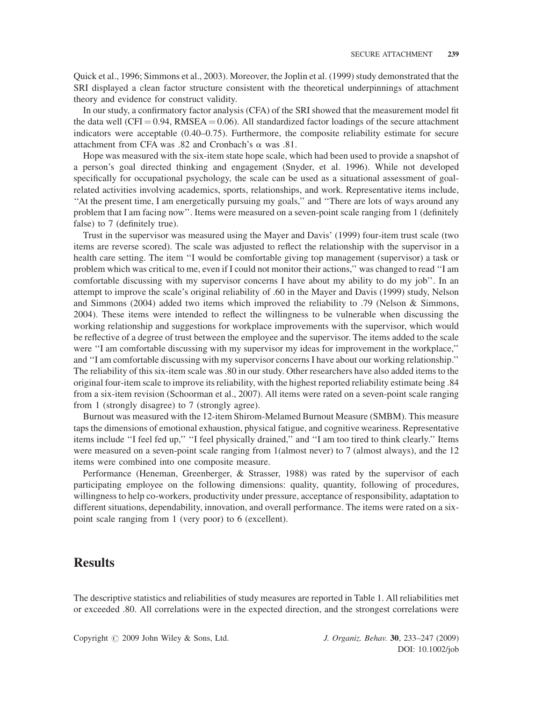Quick et al., 1996; Simmons et al., 2003). Moreover, the Joplin et al. (1999) study demonstrated that the SRI displayed a clean factor structure consistent with the theoretical underpinnings of attachment theory and evidence for construct validity.

In our study, a confirmatory factor analysis (CFA) of the SRI showed that the measurement model fit the data well (CFI =  $0.94$ , RMSEA =  $0.06$ ). All standardized factor loadings of the secure attachment indicators were acceptable (0.40–0.75). Furthermore, the composite reliability estimate for secure attachment from CFA was .82 and Cronbach's  $\alpha$  was .81.

Hope was measured with the six-item state hope scale, which had been used to provide a snapshot of a person's goal directed thinking and engagement (Snyder, et al. 1996). While not developed specifically for occupational psychology, the scale can be used as a situational assessment of goalrelated activities involving academics, sports, relationships, and work. Representative items include, ''At the present time, I am energetically pursuing my goals,'' and ''There are lots of ways around any problem that I am facing now''. Items were measured on a seven-point scale ranging from 1 (definitely false) to 7 (definitely true).

Trust in the supervisor was measured using the Mayer and Davis' (1999) four-item trust scale (two items are reverse scored). The scale was adjusted to reflect the relationship with the supervisor in a health care setting. The item ''I would be comfortable giving top management (supervisor) a task or problem which was critical to me, even if I could not monitor their actions,'' was changed to read ''I am comfortable discussing with my supervisor concerns I have about my ability to do my job''. In an attempt to improve the scale's original reliability of .60 in the Mayer and Davis (1999) study, Nelson and Simmons (2004) added two items which improved the reliability to .79 (Nelson & Simmons, 2004). These items were intended to reflect the willingness to be vulnerable when discussing the working relationship and suggestions for workplace improvements with the supervisor, which would be reflective of a degree of trust between the employee and the supervisor. The items added to the scale were ''I am comfortable discussing with my supervisor my ideas for improvement in the workplace,'' and ''I am comfortable discussing with my supervisor concerns I have about our working relationship.'' The reliability of this six-item scale was .80 in our study. Other researchers have also added items to the original four-item scale to improve its reliability, with the highest reported reliability estimate being .84 from a six-item revision (Schoorman et al., 2007). All items were rated on a seven-point scale ranging from 1 (strongly disagree) to 7 (strongly agree).

Burnout was measured with the 12-item Shirom-Melamed Burnout Measure (SMBM). This measure taps the dimensions of emotional exhaustion, physical fatigue, and cognitive weariness. Representative items include "I feel fed up," "I feel physically drained," and "I am too tired to think clearly." Items were measured on a seven-point scale ranging from 1(almost never) to 7 (almost always), and the 12 items were combined into one composite measure.

Performance (Heneman, Greenberger, & Strasser, 1988) was rated by the supervisor of each participating employee on the following dimensions: quality, quantity, following of procedures, willingness to help co-workers, productivity under pressure, acceptance of responsibility, adaptation to different situations, dependability, innovation, and overall performance. The items were rated on a sixpoint scale ranging from 1 (very poor) to 6 (excellent).

### **Results**

The descriptive statistics and reliabilities of study measures are reported in Table 1. All reliabilities met or exceeded .80. All correlations were in the expected direction, and the strongest correlations were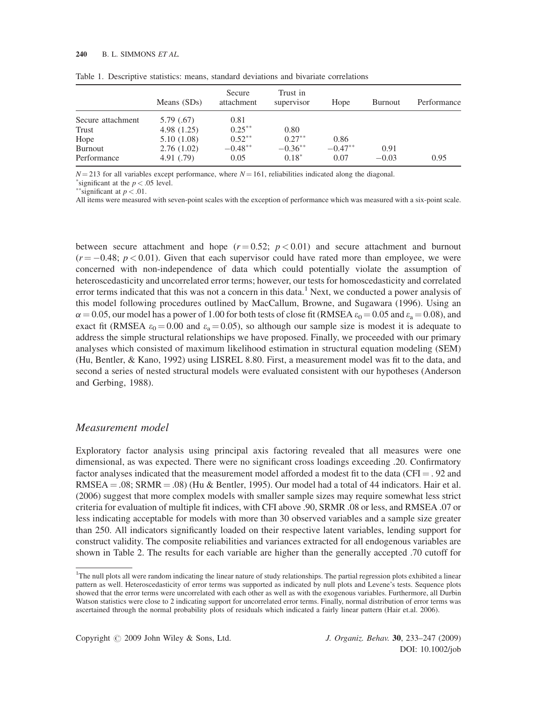|                                    | Means $(SDs)$                         | Secure<br>attachment           | Trust in<br>supervisor | Hope               | Burnout         | Performance |
|------------------------------------|---------------------------------------|--------------------------------|------------------------|--------------------|-----------------|-------------|
| Secure attachment<br>Trust<br>Hope | 5.79(.67)<br>4.98(1.25)<br>5.10(1.08) | 0.81<br>$0.25***$<br>$0.52***$ | 0.80<br>$0.27***$      | 0.86               |                 |             |
| Burnout<br>Performance             | 2.76(1.02)<br>4.91 (.79)              | $-0.48***$<br>0.05             | $-0.36**$<br>$0.18*$   | $-0.47***$<br>0.07 | 0.91<br>$-0.03$ | 0.95        |

Table 1. Descriptive statistics: means, standard deviations and bivariate correlations

 $N = 213$  for all variables except performance, where  $N = 161$ , reliabilities indicated along the diagonal.

\*significant at the  $p < .05$  level.

\*\*significant at  $p < .01$ .

All items were measured with seven-point scales with the exception of performance which was measured with a six-point scale.

between secure attachment and hope  $(r = 0.52; p < 0.01)$  and secure attachment and burnout  $(r = -0.48; p < 0.01)$ . Given that each supervisor could have rated more than employee, we were concerned with non-independence of data which could potentially violate the assumption of heteroscedasticity and uncorrelated error terms; however, our tests for homoscedasticity and correlated error terms indicated that this was not a concern in this data.<sup>1</sup> Next, we conducted a power analysis of this model following procedures outlined by MacCallum, Browne, and Sugawara (1996). Using an  $\alpha$  = 0.05, our model has a power of 1.00 for both tests of close fit (RMSEA  $\varepsilon_0$  = 0.05 and  $\varepsilon_a$  = 0.08), and exact fit (RMSEA  $\varepsilon_0 = 0.00$  and  $\varepsilon_a = 0.05$ ), so although our sample size is modest it is adequate to address the simple structural relationships we have proposed. Finally, we proceeded with our primary analyses which consisted of maximum likelihood estimation in structural equation modeling (SEM) (Hu, Bentler, & Kano, 1992) using LISREL 8.80. First, a measurement model was fit to the data, and second a series of nested structural models were evaluated consistent with our hypotheses (Anderson and Gerbing, 1988).

#### Measurement model

Exploratory factor analysis using principal axis factoring revealed that all measures were one dimensional, as was expected. There were no significant cross loadings exceeding .20. Confirmatory factor analyses indicated that the measurement model afforded a modest fit to the data (CFI  $=$  . 92 and  $RMSEA = .08$ ;  $SRMR = .08$ ) (Hu & Bentler, 1995). Our model had a total of 44 indicators. Hair et al. (2006) suggest that more complex models with smaller sample sizes may require somewhat less strict criteria for evaluation of multiple fit indices, with CFI above .90, SRMR .08 or less, and RMSEA .07 or less indicating acceptable for models with more than 30 observed variables and a sample size greater than 250. All indicators significantly loaded on their respective latent variables, lending support for construct validity. The composite reliabilities and variances extracted for all endogenous variables are shown in Table 2. The results for each variable are higher than the generally accepted .70 cutoff for

<sup>&</sup>lt;sup>1</sup>The null plots all were random indicating the linear nature of study relationships. The partial regression plots exhibited a linear pattern as well. Heteroscedasticity of error terms was supported as indicated by null plots and Levene's tests. Sequence plots showed that the error terms were uncorrelated with each other as well as with the exogenous variables. Furthermore, all Durbin Watson statistics were close to 2 indicating support for uncorrelated error terms. Finally, normal distribution of error terms was ascertained through the normal probability plots of residuals which indicated a fairly linear pattern (Hair et.al. 2006).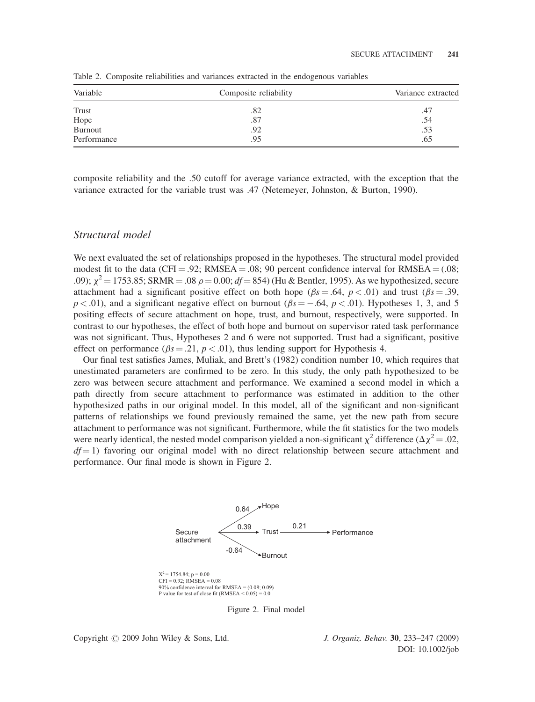| Variable    | Composite reliability | Variance extracted |  |
|-------------|-----------------------|--------------------|--|
| Trust       | .82                   | .47                |  |
| Hope        | .87                   | .54                |  |
| Burnout     | .92                   | .53                |  |
| Performance | .95                   | .65                |  |

Table 2. Composite reliabilities and variances extracted in the endogenous variables

composite reliability and the .50 cutoff for average variance extracted, with the exception that the variance extracted for the variable trust was .47 (Netemeyer, Johnston, & Burton, 1990).

#### Structural model

We next evaluated the set of relationships proposed in the hypotheses. The structural model provided modest fit to the data (CFI = .92; RMSEA = .08; 90 percent confidence interval for RMSEA = .008; .09);  $\chi^2 = 1753.85$ ; SRMR = .08  $\rho = 0.00$ ;  $df = 854$ ) (Hu & Bentler, 1995). As we hypothesized, secure attachment had a significant positive effect on both hope ( $\beta s = .64$ ,  $p < .01$ ) and trust ( $\beta s = .39$ ,  $p < .01$ ), and a significant negative effect on burnout ( $\beta s = -.64$ ,  $p < .01$ ). Hypotheses 1, 3, and 5 positing effects of secure attachment on hope, trust, and burnout, respectively, were supported. In contrast to our hypotheses, the effect of both hope and burnout on supervisor rated task performance was not significant. Thus, Hypotheses 2 and 6 were not supported. Trust had a significant, positive effect on performance ( $\beta s = .21$ ,  $p < .01$ ), thus lending support for Hypothesis 4.

Our final test satisfies James, Muliak, and Brett's (1982) condition number 10, which requires that unestimated parameters are confirmed to be zero. In this study, the only path hypothesized to be zero was between secure attachment and performance. We examined a second model in which a path directly from secure attachment to performance was estimated in addition to the other hypothesized paths in our original model. In this model, all of the significant and non-significant patterns of relationships we found previously remained the same, yet the new path from secure attachment to performance was not significant. Furthermore, while the fit statistics for the two models were nearly identical, the nested model comparison yielded a non-significant  $\chi^2$  difference ( $\Delta \chi^2 = .02$ ,  $df = 1$ ) favoring our original model with no direct relationship between secure attachment and performance. Our final mode is shown in Figure 2.



90% confidence interval for  $RMSEA = (0.08; 0.09)$ P value for test of close fit  $(RMSEA < 0.05) = 0.0$ 

Figure 2. Final model

Copyright  $\odot$  2009 John Wiley & Sons, Ltd. J. Organiz. Behav. 30, 233–247 (2009)

DOI: 10.1002/job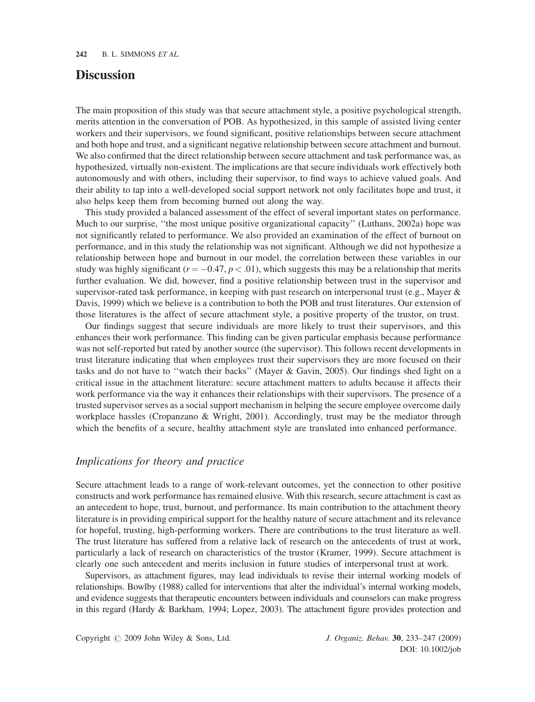### **Discussion**

The main proposition of this study was that secure attachment style, a positive psychological strength, merits attention in the conversation of POB. As hypothesized, in this sample of assisted living center workers and their supervisors, we found significant, positive relationships between secure attachment and both hope and trust, and a significant negative relationship between secure attachment and burnout. We also confirmed that the direct relationship between secure attachment and task performance was, as hypothesized, virtually non-existent. The implications are that secure individuals work effectively both autonomously and with others, including their supervisor, to find ways to achieve valued goals. And their ability to tap into a well-developed social support network not only facilitates hope and trust, it also helps keep them from becoming burned out along the way.

This study provided a balanced assessment of the effect of several important states on performance. Much to our surprise, ''the most unique positive organizational capacity'' (Luthans, 2002a) hope was not significantly related to performance. We also provided an examination of the effect of burnout on performance, and in this study the relationship was not significant. Although we did not hypothesize a relationship between hope and burnout in our model, the correlation between these variables in our study was highly significant ( $r = -0.47$ ,  $p < .01$ ), which suggests this may be a relationship that merits further evaluation. We did, however, find a positive relationship between trust in the supervisor and supervisor-rated task performance, in keeping with past research on interpersonal trust (e.g., Mayer & Davis, 1999) which we believe is a contribution to both the POB and trust literatures. Our extension of those literatures is the affect of secure attachment style, a positive property of the trustor, on trust.

Our findings suggest that secure individuals are more likely to trust their supervisors, and this enhances their work performance. This finding can be given particular emphasis because performance was not self-reported but rated by another source (the supervisor). This follows recent developments in trust literature indicating that when employees trust their supervisors they are more focused on their tasks and do not have to ''watch their backs'' (Mayer & Gavin, 2005). Our findings shed light on a critical issue in the attachment literature: secure attachment matters to adults because it affects their work performance via the way it enhances their relationships with their supervisors. The presence of a trusted supervisor serves as a social support mechanism in helping the secure employee overcome daily workplace hassles (Cropanzano & Wright, 2001). Accordingly, trust may be the mediator through which the benefits of a secure, healthy attachment style are translated into enhanced performance.

#### Implications for theory and practice

Secure attachment leads to a range of work-relevant outcomes, yet the connection to other positive constructs and work performance has remained elusive. With this research, secure attachment is cast as an antecedent to hope, trust, burnout, and performance. Its main contribution to the attachment theory literature is in providing empirical support for the healthy nature of secure attachment and its relevance for hopeful, trusting, high-performing workers. There are contributions to the trust literature as well. The trust literature has suffered from a relative lack of research on the antecedents of trust at work, particularly a lack of research on characteristics of the trustor (Kramer, 1999). Secure attachment is clearly one such antecedent and merits inclusion in future studies of interpersonal trust at work.

Supervisors, as attachment figures, may lead individuals to revise their internal working models of relationships. Bowlby (1988) called for interventions that alter the individual's internal working models, and evidence suggests that therapeutic encounters between individuals and counselors can make progress in this regard (Hardy & Barkham, 1994; Lopez, 2003). The attachment figure provides protection and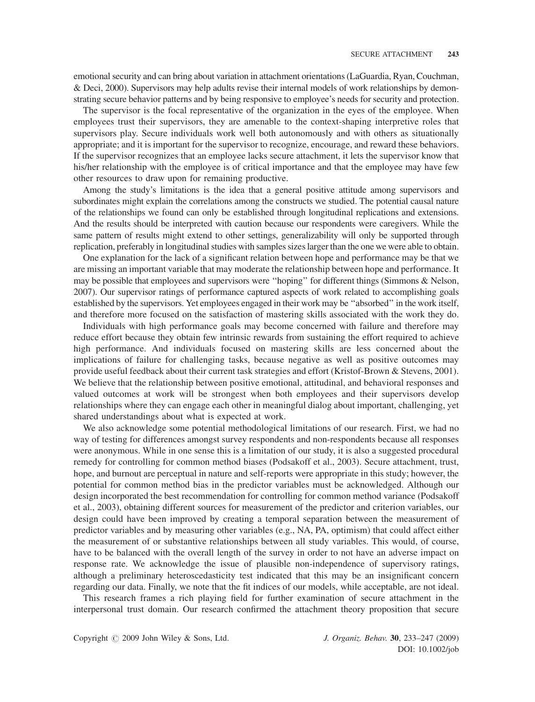emotional security and can bring about variation in attachment orientations (LaGuardia, Ryan, Couchman, & Deci, 2000). Supervisors may help adults revise their internal models of work relationships by demonstrating secure behavior patterns and by being responsive to employee's needs for security and protection.

The supervisor is the focal representative of the organization in the eyes of the employee. When employees trust their supervisors, they are amenable to the context-shaping interpretive roles that supervisors play. Secure individuals work well both autonomously and with others as situationally appropriate; and it is important for the supervisor to recognize, encourage, and reward these behaviors. If the supervisor recognizes that an employee lacks secure attachment, it lets the supervisor know that his/her relationship with the employee is of critical importance and that the employee may have few other resources to draw upon for remaining productive.

Among the study's limitations is the idea that a general positive attitude among supervisors and subordinates might explain the correlations among the constructs we studied. The potential causal nature of the relationships we found can only be established through longitudinal replications and extensions. And the results should be interpreted with caution because our respondents were caregivers. While the same pattern of results might extend to other settings, generalizability will only be supported through replication, preferably in longitudinal studies with samples sizes larger than the one we were able to obtain.

One explanation for the lack of a significant relation between hope and performance may be that we are missing an important variable that may moderate the relationship between hope and performance. It may be possible that employees and supervisors were ''hoping'' for different things (Simmons & Nelson, 2007). Our supervisor ratings of performance captured aspects of work related to accomplishing goals established by the supervisors. Yet employees engaged in their work may be ''absorbed'' in the work itself, and therefore more focused on the satisfaction of mastering skills associated with the work they do.

Individuals with high performance goals may become concerned with failure and therefore may reduce effort because they obtain few intrinsic rewards from sustaining the effort required to achieve high performance. And individuals focused on mastering skills are less concerned about the implications of failure for challenging tasks, because negative as well as positive outcomes may provide useful feedback about their current task strategies and effort (Kristof-Brown & Stevens, 2001). We believe that the relationship between positive emotional, attitudinal, and behavioral responses and valued outcomes at work will be strongest when both employees and their supervisors develop relationships where they can engage each other in meaningful dialog about important, challenging, yet shared understandings about what is expected at work.

We also acknowledge some potential methodological limitations of our research. First, we had no way of testing for differences amongst survey respondents and non-respondents because all responses were anonymous. While in one sense this is a limitation of our study, it is also a suggested procedural remedy for controlling for common method biases (Podsakoff et al., 2003). Secure attachment, trust, hope, and burnout are perceptual in nature and self-reports were appropriate in this study; however, the potential for common method bias in the predictor variables must be acknowledged. Although our design incorporated the best recommendation for controlling for common method variance (Podsakoff et al., 2003), obtaining different sources for measurement of the predictor and criterion variables, our design could have been improved by creating a temporal separation between the measurement of predictor variables and by measuring other variables (e.g., NA, PA, optimism) that could affect either the measurement of or substantive relationships between all study variables. This would, of course, have to be balanced with the overall length of the survey in order to not have an adverse impact on response rate. We acknowledge the issue of plausible non-independence of supervisory ratings, although a preliminary heteroscedasticity test indicated that this may be an insignificant concern regarding our data. Finally, we note that the fit indices of our models, while acceptable, are not ideal.

This research frames a rich playing field for further examination of secure attachment in the interpersonal trust domain. Our research confirmed the attachment theory proposition that secure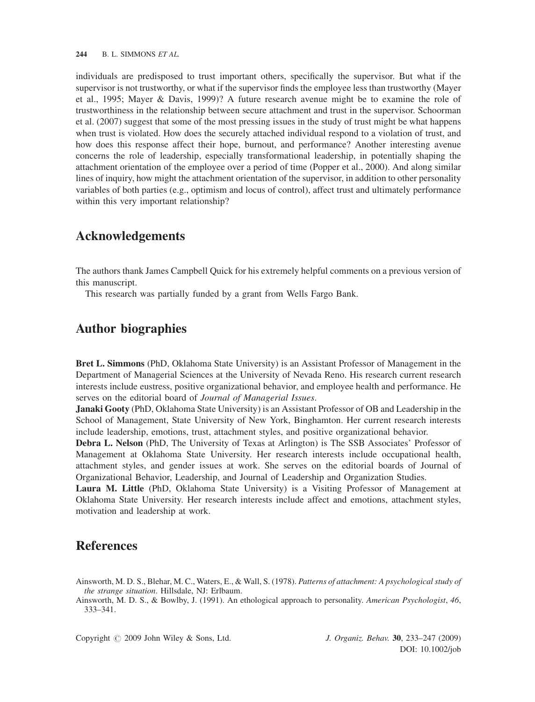244 B. L. SIMMONS ET AL.

individuals are predisposed to trust important others, specifically the supervisor. But what if the supervisor is not trustworthy, or what if the supervisor finds the employee less than trustworthy (Mayer et al., 1995; Mayer & Davis, 1999)? A future research avenue might be to examine the role of trustworthiness in the relationship between secure attachment and trust in the supervisor. Schoorman et al. (2007) suggest that some of the most pressing issues in the study of trust might be what happens when trust is violated. How does the securely attached individual respond to a violation of trust, and how does this response affect their hope, burnout, and performance? Another interesting avenue concerns the role of leadership, especially transformational leadership, in potentially shaping the attachment orientation of the employee over a period of time (Popper et al., 2000). And along similar lines of inquiry, how might the attachment orientation of the supervisor, in addition to other personality variables of both parties (e.g., optimism and locus of control), affect trust and ultimately performance within this very important relationship?

## Acknowledgements

The authors thank James Campbell Quick for his extremely helpful comments on a previous version of this manuscript.

This research was partially funded by a grant from Wells Fargo Bank.

## Author biographies

Bret L. Simmons (PhD, Oklahoma State University) is an Assistant Professor of Management in the Department of Managerial Sciences at the University of Nevada Reno. His research current research interests include eustress, positive organizational behavior, and employee health and performance. He serves on the editorial board of Journal of Managerial Issues.

Janaki Gooty (PhD, Oklahoma State University) is an Assistant Professor of OB and Leadership in the School of Management, State University of New York, Binghamton. Her current research interests include leadership, emotions, trust, attachment styles, and positive organizational behavior.

Debra L. Nelson (PhD, The University of Texas at Arlington) is The SSB Associates' Professor of Management at Oklahoma State University. Her research interests include occupational health, attachment styles, and gender issues at work. She serves on the editorial boards of Journal of Organizational Behavior, Leadership, and Journal of Leadership and Organization Studies.

Laura M. Little (PhD, Oklahoma State University) is a Visiting Professor of Management at Oklahoma State University. Her research interests include affect and emotions, attachment styles, motivation and leadership at work.

### References

Ainsworth, M. D. S., Blehar, M. C., Waters, E., & Wall, S. (1978). Patterns of attachment: A psychological study of the strange situation. Hillsdale, NJ: Erlbaum.

Ainsworth, M. D. S., & Bowlby, J. (1991). An ethological approach to personality. American Psychologist, 46, 333–341.

Copyright  $\odot$  2009 John Wiley & Sons, Ltd. J. Organiz. Behav. 30, 233–247 (2009)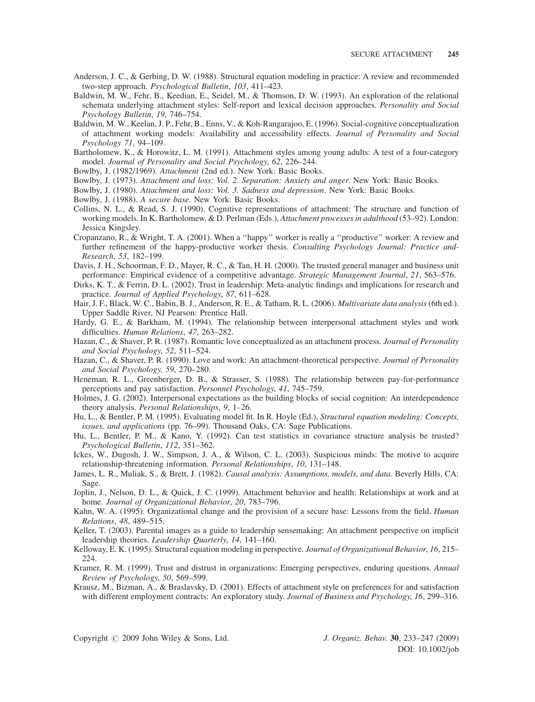- Anderson, J. C., & Gerbing, D. W. (1988). Structural equation modeling in practice: A review and recommended two-step approach. Psychological Bulletin, 103, 411–423.
- Baldwin, M. W., Fehr, B., Keedian, E., Seidel, M., & Thomson, D. W. (1993). An exploration of the relational schemata underlying attachment styles: Self-report and lexical decision approaches. Personality and Social Psychology Bulletin, 19, 746–754.
- Baldwin, M. W., Keelan, J. P., Fehr, B., Enns, V., & Koh-Rangarajoo, E. (1996). Social-cognitive conceptualization of attachment working models: Availability and accessibility effects. Journal of Personality and Social Psychology 71, 94–109.
- Bartholomew, K., & Horowitz, L. M. (1991). Attachment styles among young adults: A test of a four-category model. Journal of Personality and Social Psychology, 62, 226–244.
- Bowlby, J. (1982/1969). Attachment (2nd ed.). New York: Basic Books.
- Bowlby, J. (1973). Attachment and loss: Vol. 2. Separation: Anxiety and anger. New York: Basic Books.
- Bowlby, J. (1980). Attachment and loss: Vol. 3. Sadness and depression. New York: Basic Books.
- Bowlby, J. (1988). A secure base. New York: Basic Books.
- Collins, N. L., & Read, S. J. (1990). Cognitive representations of attachment: The structure and function of working models. In K. Bartholomew, & D. Perlman (Eds.), Attachment processes in adulthood (53-92). London: Jessica Kingsley.
- Cropanzano, R., & Wright, T. A. (2001). When a ''happy'' worker is really a ''productive'' worker: A review and further refinement of the happy-productive worker thesis. Consulting Psychology Journal: Practice and-Research, 53, 182–199.
- Davis, J. H., Schoorman, F. D., Mayer, R. C., & Tan, H. H. (2000). The trusted general manager and business unit performance: Empirical evidence of a competitive advantage. Strategic Management Journal, 21, 563–576.
- Dirks, K. T., & Ferrin, D. L. (2002). Trust in leadership: Meta-analytic findings and implications for research and practice. Journal of Applied Psychology, 87, 611–628.
- Hair, J. F., Black, W. C., Babin, B. J., Anderson, R. E., & Tatham, R. L. (2006). *Multivariate data analysis* (6th ed.). Upper Saddle River, NJ Pearson: Prentice Hall.
- Hardy, G. E., & Barkham, M. (1994). The relationship between interpersonal attachment styles and work difficulties. Human Relations, 47, 263–282.
- Hazan, C., & Shaver, P. R. (1987). Romantic love conceptualized as an attachment process. *Journal of Personality* and Social Psychology, 52, 511–524.
- Hazan, C., & Shaver, P. R. (1990). Love and work: An attachment-theoretical perspective. *Journal of Personality* and Social Psychology, 59, 270–280.
- Heneman, R. L., Greenberger, D. B., & Strasser, S. (1988). The relationship between pay-for-performance perceptions and pay satisfaction. Personnel Psychology, 41, 745–759.
- Holmes, J. G. (2002). Interpersonal expectations as the building blocks of social cognition: An interdependence theory analysis. Personal Relationships, 9, 1–26.
- Hu, L., & Bentler, P. M. (1995). Evaluating model fit. In R. Hoyle (Ed.), Structural equation modeling: Concepts, issues, and applications (pp. 76–99). Thousand Oaks, CA: Sage Publications.
- Hu, L., Bentler, P. M., & Kano, Y. (1992). Can test statistics in covariance structure analysis be trusted? Psychological Bulletin, 112, 351–362.
- Ickes, W., Dugosh, J. W., Simpson, J. A., & Wilson, C. L. (2003). Suspicious minds: The motive to acquire relationship-threatening information. Personal Relationships, 10, 131–148.
- James, L. R., Muliak, S., & Brett, J. (1982). Causal analysis: Assumptions, models, and data. Beverly Hills, CA: Sage.
- Joplin, J., Nelson, D. L., & Quick, J. C. (1999). Attachment behavior and health: Relationships at work and at home. Journal of Organizational Behavior, 20, 783–796.
- Kahn, W. A. (1995). Organizational change and the provision of a secure base: Lessons from the field. *Human* Relations, 48, 489–515.
- Keller, T. (2003). Parental images as a guide to leadership sensemaking: An attachment perspective on implicit leadership theories. Leadership Quarterly, 14, 141–160.
- Kelloway, E. K. (1995). Structural equation modeling in perspective. Journal of Organizational Behavior, 16, 215–  $224.$
- Kramer, R. M. (1999). Trust and distrust in organizations: Emerging perspectives, enduring questions. Annual Review of Psychology, 50, 569–599.
- Krausz, M., Bizman, A., & Braslavsky, D. (2001). Effects of attachment style on preferences for and satisfaction with different employment contracts: An exploratory study. Journal of Business and Psychology, 16, 299–316.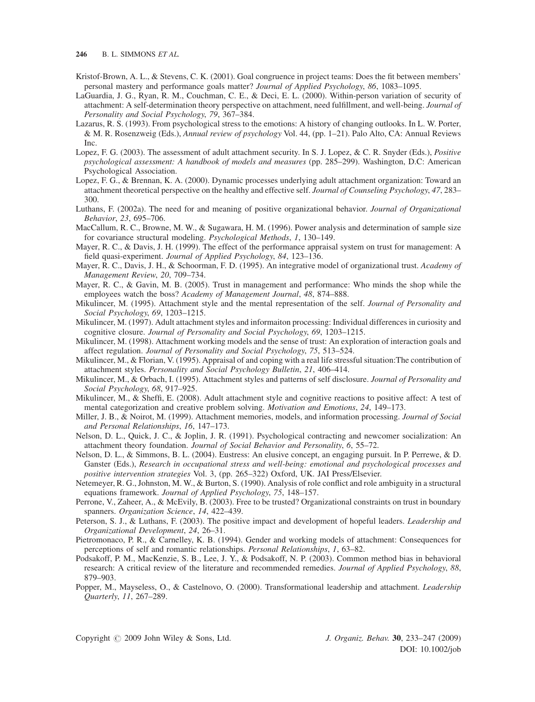#### 246 B. L. SIMMONS ET AL.

- Kristof-Brown, A. L., & Stevens, C. K. (2001). Goal congruence in project teams: Does the fit between members' personal mastery and performance goals matter? Journal of Applied Psychology, 86, 1083–1095.
- LaGuardia, J. G., Ryan, R. M., Couchman, C. E., & Deci, E. L. (2000). Within-person variation of security of attachment: A self-determination theory perspective on attachment, need fulfillment, and well-being. Journal of Personality and Social Psychology, 79, 367–384.
- Lazarus, R. S. (1993). From psychological stress to the emotions: A history of changing outlooks. In L. W. Porter, & M. R. Rosenzweig (Eds.), Annual review of psychology Vol. 44, (pp. 1–21). Palo Alto, CA: Annual Reviews Inc.
- Lopez, F. G. (2003). The assessment of adult attachment security. In S. J. Lopez, & C. R. Snyder (Eds.), *Positive* psychological assessment: A handbook of models and measures (pp. 285–299). Washington, D.C: American Psychological Association.
- Lopez, F. G., & Brennan, K. A. (2000). Dynamic processes underlying adult attachment organization: Toward an attachment theoretical perspective on the healthy and effective self. Journal of Counseling Psychology, 47, 283– 300.
- Luthans, F. (2002a). The need for and meaning of positive organizational behavior. Journal of Organizational Behavior, 23, 695–706.
- MacCallum, R. C., Browne, M. W., & Sugawara, H. M. (1996). Power analysis and determination of sample size for covariance structural modeling. Psychological Methods, 1, 130–149.
- Mayer, R. C., & Davis, J. H. (1999). The effect of the performance appraisal system on trust for management: A field quasi-experiment. Journal of Applied Psychology, 84, 123–136.
- Mayer, R. C., Davis, J. H., & Schoorman, F. D. (1995). An integrative model of organizational trust. Academy of Management Review, 20, 709–734.
- Mayer, R. C., & Gavin, M. B. (2005). Trust in management and performance: Who minds the shop while the employees watch the boss? Academy of Management Journal, 48, 874–888.
- Mikulincer, M. (1995). Attachment style and the mental representation of the self. Journal of Personality and Social Psychology, 69, 1203–1215.
- Mikulincer, M. (1997). Adult attachment styles and informaiton processing: Individual differences in curiosity and cognitive closure. Journal of Personality and Social Psychology, 69, 1203–1215.
- Mikulincer, M. (1998). Attachment working models and the sense of trust: An exploration of interaction goals and affect regulation. Journal of Personality and Social Psychology, 75, 513–524.
- Mikulincer, M., & Florian, V. (1995). Appraisal of and coping with a real life stressful situation:The contribution of attachment styles. Personality and Social Psychology Bulletin, 21, 406–414.
- Mikulincer, M., & Orbach, I. (1995). Attachment styles and patterns of self disclosure. Journal of Personality and Social Psychology, 68, 917–925.
- Mikulincer, M., & Sheffi, E. (2008). Adult attachment style and cognitive reactions to positive affect: A test of mental categorization and creative problem solving. Motivation and Emotions, 24, 149–173.
- Miller, J. B., & Noirot, M. (1999). Attachment memories, models, and information processing. Journal of Social and Personal Relationships, 16, 147–173.
- Nelson, D. L., Quick, J. C., & Joplin, J. R. (1991). Psychological contracting and newcomer socialization: An attachment theory foundation. Journal of Social Behavior and Personality, 6, 55–72.
- Nelson, D. L., & Simmons, B. L. (2004). Eustress: An elusive concept, an engaging pursuit. In P. Perrewe, & D. Ganster (Eds.), Research in occupational stress and well-being: emotional and psychological processes and positive intervention strategies Vol. 3, (pp. 265–322) Oxford, UK. JAI Press/Elsevier.
- Netemeyer, R. G., Johnston, M. W., & Burton, S. (1990). Analysis of role conflict and role ambiguity in a structural equations framework. Journal of Applied Psychology, 75, 148–157.
- Perrone, V., Zaheer, A., & McEvily, B. (2003). Free to be trusted? Organizational constraints on trust in boundary spanners. Organization Science, 14, 422–439.
- Peterson, S. J., & Luthans, F. (2003). The positive impact and development of hopeful leaders. Leadership and Organizational Development, 24, 26–31.
- Pietromonaco, P. R., & Carnelley, K. B. (1994). Gender and working models of attachment: Consequences for perceptions of self and romantic relationships. Personal Relationships, 1, 63–82.
- Podsakoff, P. M., MacKenzie, S. B., Lee, J. Y., & Podsakoff, N. P. (2003). Common method bias in behavioral research: A critical review of the literature and recommended remedies. Journal of Applied Psychology, 88, 879–903.
- Popper, M., Mayseless, O., & Castelnovo, O. (2000). Transformational leadership and attachment. Leadership Quarterly, 11, 267–289.

Copyright  $\odot$  2009 John Wiley & Sons, Ltd. J. Organiz. Behav. 30, 233–247 (2009)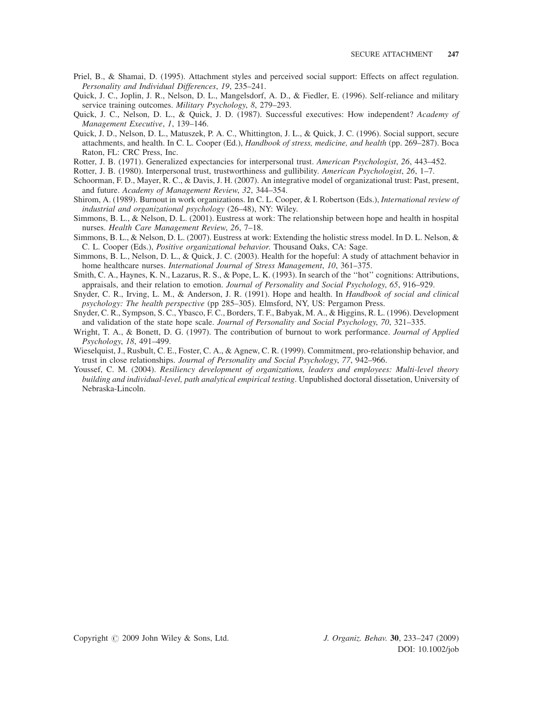- Priel, B., & Shamai, D. (1995). Attachment styles and perceived social support: Effects on affect regulation. Personality and Individual Differences, 19, 235–241.
- Quick, J. C., Joplin, J. R., Nelson, D. L., Mangelsdorf, A. D., & Fiedler, E. (1996). Self-reliance and military service training outcomes. Military Psychology, 8, 279–293.
- Quick, J. C., Nelson, D. L., & Quick, J. D. (1987). Successful executives: How independent? Academy of Management Executive, 1, 139–146.
- Quick, J. D., Nelson, D. L., Matuszek, P. A. C., Whittington, J. L., & Quick, J. C. (1996). Social support, secure attachments, and health. In C. L. Cooper (Ed.), Handbook of stress, medicine, and health (pp. 269-287). Boca Raton, FL: CRC Press, Inc.
- Rotter, J. B. (1971). Generalized expectancies for interpersonal trust. American Psychologist, 26, 443–452.
- Rotter, J. B. (1980). Interpersonal trust, trustworthiness and gullibility. American Psychologist, 26, 1–7.
- Schoorman, F. D., Mayer, R. C., & Davis, J. H. (2007). An integrative model of organizational trust: Past, present, and future. Academy of Management Review, 32, 344–354.
- Shirom, A. (1989). Burnout in work organizations. In C. L. Cooper, & I. Robertson (Eds.), International review of industrial and organizational psychology (26–48), NY: Wiley.
- Simmons, B. L., & Nelson, D. L. (2001). Eustress at work: The relationship between hope and health in hospital nurses. Health Care Management Review, 26, 7–18.
- Simmons, B. L., & Nelson, D. L. (2007). Eustress at work: Extending the holistic stress model. In D. L. Nelson, & C. L. Cooper (Eds.), Positive organizational behavior. Thousand Oaks, CA: Sage.
- Simmons, B. L., Nelson, D. L., & Quick, J. C. (2003). Health for the hopeful: A study of attachment behavior in home healthcare nurses. International Journal of Stress Management, 10, 361-375.
- Smith, C. A., Haynes, K. N., Lazarus, R. S., & Pope, L. K. (1993). In search of the ''hot'' cognitions: Attributions, appraisals, and their relation to emotion. Journal of Personality and Social Psychology, 65, 916–929.
- Snyder, C. R., Irving, L. M., & Anderson, J. R. (1991). Hope and health. In Handbook of social and clinical psychology: The health perspective (pp 285–305). Elmsford, NY, US: Pergamon Press.
- Snyder, C. R., Sympson, S. C., Ybasco, F. C., Borders, T. F., Babyak, M. A., & Higgins, R. L. (1996). Development and validation of the state hope scale. Journal of Personality and Social Psychology, 70, 321–335.
- Wright, T. A., & Bonett, D. G. (1997). The contribution of burnout to work performance. Journal of Applied Psychology, 18, 491–499.
- Wieselquist, J., Rusbult, C. E., Foster, C. A., & Agnew, C. R. (1999). Commitment, pro-relationship behavior, and trust in close relationships. Journal of Personality and Social Psychology, 77, 942–966.
- Youssef, C. M. (2004). Resiliency development of organizations, leaders and employees: Multi-level theory building and individual-level, path analytical empirical testing. Unpublished doctoral dissetation, University of Nebraska-Lincoln.